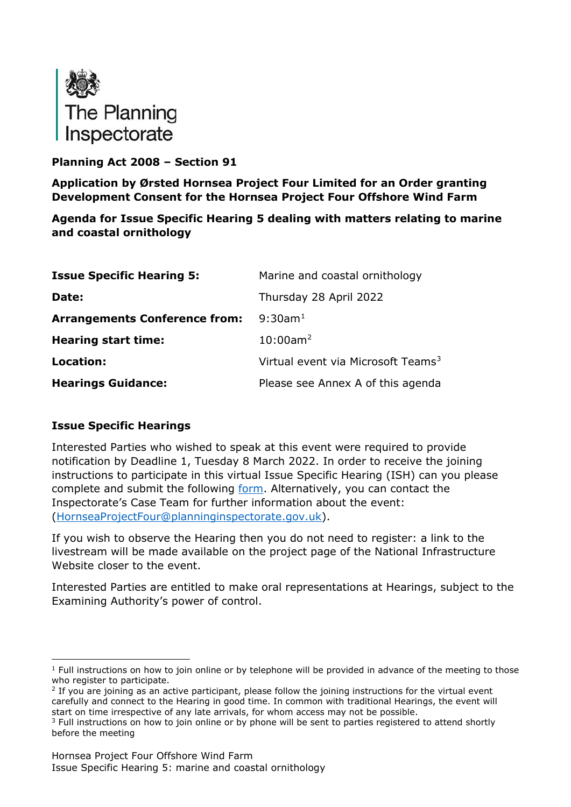

# **Planning Act 2008 – Section 91**

**Application by Ørsted Hornsea Project Four Limited for an Order granting Development Consent for the Hornsea Project Four Offshore Wind Farm**

**Agenda for Issue Specific Hearing 5 dealing with matters relating to marine and coastal ornithology**

| <b>Issue Specific Hearing 5:</b>     | Marine and coastal ornithology                 |
|--------------------------------------|------------------------------------------------|
| Date:                                | Thursday 28 April 2022                         |
| <b>Arrangements Conference from:</b> | $9:30$ am <sup>1</sup>                         |
| <b>Hearing start time:</b>           | $10:00$ am <sup>2</sup>                        |
| Location:                            | Virtual event via Microsoft Teams <sup>3</sup> |
| <b>Hearings Guidance:</b>            | Please see Annex A of this agenda              |

# **Issue Specific Hearings**

Interested Parties who wished to speak at this event were required to provide notification by Deadline 1, Tuesday 8 March 2022. In order to receive the joining instructions to participate in this virtual Issue Specific Hearing (ISH) can you please complete and submit the following [form.](https://forms.office.com/pages/responsepage.aspx?id=mN94WIhvq0iTIpmM5VcIje6FHDvzmKBHiEi84DrjxWpUOEJNN00zTTVVTzhaVUxBSU1KTkFMUjY5SC4u) Alternatively, you can contact the Inspectorate's Case Team for further information about the event: [\(HornseaProjectFour@planninginspectorate.gov.uk\)](mailto:HornseaProjectFour@planninginspectorate.gov.uk).

If you wish to observe the Hearing then you do not need to register: a link to the livestream will be made available on the project page of the National Infrastructure Website closer to the event.

Interested Parties are entitled to make oral representations at Hearings, subject to the Examining Authority's power of control.

<span id="page-0-0"></span> $1$  Full instructions on how to join online or by telephone will be provided in advance of the meeting to those who register to participate.

<span id="page-0-1"></span> $<sup>2</sup>$  If you are joining as an active participant, please follow the joining instructions for the virtual event</sup> carefully and connect to the Hearing in good time. In common with traditional Hearings, the event will start on time irrespective of any late arrivals, for whom access may not be possible.

<span id="page-0-2"></span><sup>&</sup>lt;sup>3</sup> Full instructions on how to join online or by phone will be sent to parties registered to attend shortly before the meeting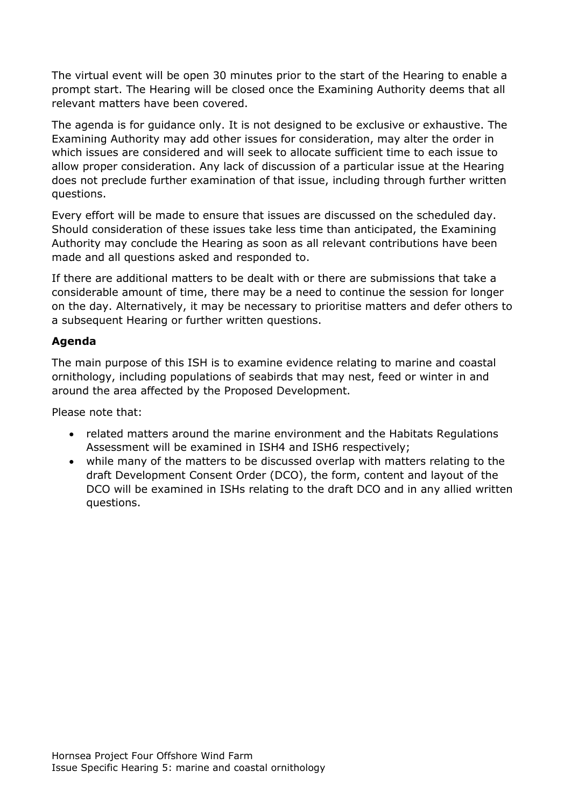The virtual event will be open 30 minutes prior to the start of the Hearing to enable a prompt start. The Hearing will be closed once the Examining Authority deems that all relevant matters have been covered.

The agenda is for guidance only. It is not designed to be exclusive or exhaustive. The Examining Authority may add other issues for consideration, may alter the order in which issues are considered and will seek to allocate sufficient time to each issue to allow proper consideration. Any lack of discussion of a particular issue at the Hearing does not preclude further examination of that issue, including through further written questions.

Every effort will be made to ensure that issues are discussed on the scheduled day. Should consideration of these issues take less time than anticipated, the Examining Authority may conclude the Hearing as soon as all relevant contributions have been made and all questions asked and responded to.

If there are additional matters to be dealt with or there are submissions that take a considerable amount of time, there may be a need to continue the session for longer on the day. Alternatively, it may be necessary to prioritise matters and defer others to a subsequent Hearing or further written questions.

# **Agenda**

The main purpose of this ISH is to examine evidence relating to marine and coastal ornithology, including populations of seabirds that may nest, feed or winter in and around the area affected by the Proposed Development.

Please note that:

- related matters around the marine environment and the Habitats Regulations Assessment will be examined in ISH4 and ISH6 respectively;
- while many of the matters to be discussed overlap with matters relating to the draft Development Consent Order (DCO), the form, content and layout of the DCO will be examined in ISHs relating to the draft DCO and in any allied written questions.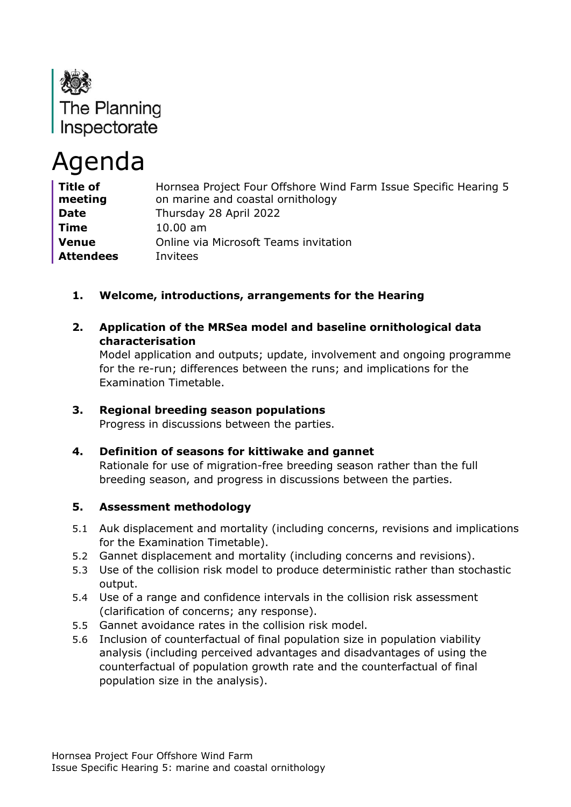

# Agenda

| <b>Title of</b><br>meeting | Hornsea Project Four Offshore Wind Farm Issue Specific Hearing 5<br>on marine and coastal ornithology |
|----------------------------|-------------------------------------------------------------------------------------------------------|
| <b>Date</b>                | Thursday 28 April 2022                                                                                |
| <b>Time</b>                | $10.00 \text{ am}$                                                                                    |
| <b>Venue</b>               | Online via Microsoft Teams invitation                                                                 |
| <b>Attendees</b>           | Invitees                                                                                              |

# **1. Welcome, introductions, arrangements for the Hearing**

**2. Application of the MRSea model and baseline ornithological data characterisation**

Model application and outputs; update, involvement and ongoing programme for the re-run; differences between the runs; and implications for the Examination Timetable.

# **3. Regional breeding season populations**

Progress in discussions between the parties.

# **4. Definition of seasons for kittiwake and gannet**

Rationale for use of migration-free breeding season rather than the full breeding season, and progress in discussions between the parties.

# **5. Assessment methodology**

- 5.1 Auk displacement and mortality (including concerns, revisions and implications for the Examination Timetable).
- 5.2 Gannet displacement and mortality (including concerns and revisions).
- 5.3 Use of the collision risk model to produce deterministic rather than stochastic output.
- 5.4 Use of a range and confidence intervals in the collision risk assessment (clarification of concerns; any response).
- 5.5 Gannet avoidance rates in the collision risk model.
- 5.6 Inclusion of counterfactual of final population size in population viability analysis (including perceived advantages and disadvantages of using the counterfactual of population growth rate and the counterfactual of final population size in the analysis).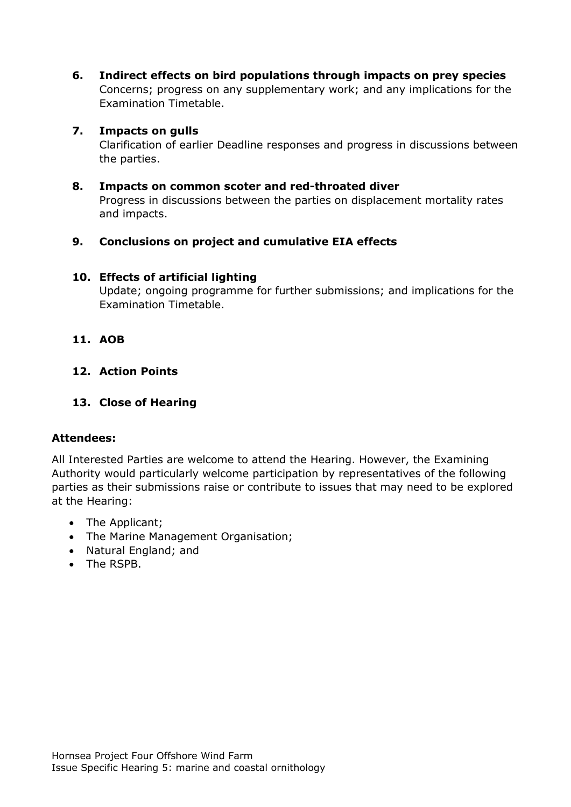**6. Indirect effects on bird populations through impacts on prey species** Concerns; progress on any supplementary work; and any implications for the Examination Timetable.

#### **7. Impacts on gulls**

Clarification of earlier Deadline responses and progress in discussions between the parties.

#### **8. Impacts on common scoter and red-throated diver**

Progress in discussions between the parties on displacement mortality rates and impacts.

# **9. Conclusions on project and cumulative EIA effects**

#### **10. Effects of artificial lighting**

Update; ongoing programme for further submissions; and implications for the Examination Timetable.

#### **11. AOB**

# **12. Action Points**

### **13. Close of Hearing**

# **Attendees:**

All Interested Parties are welcome to attend the Hearing. However, the Examining Authority would particularly welcome participation by representatives of the following parties as their submissions raise or contribute to issues that may need to be explored at the Hearing:

- The Applicant;
- The Marine Management Organisation;
- Natural England; and
- The RSPB.